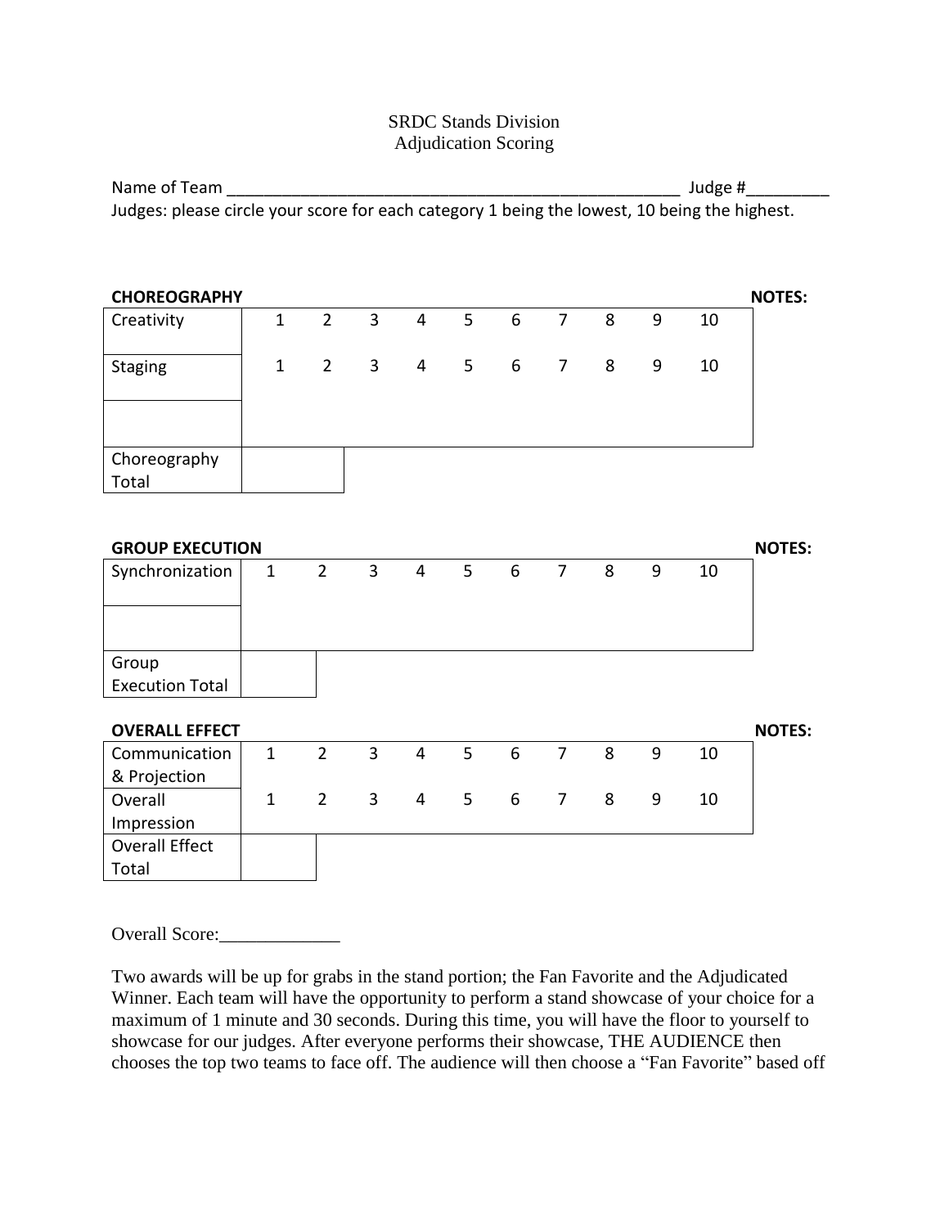## SRDC Stands Division Adjudication Scoring

Name of Team \_\_\_\_\_\_\_\_\_\_\_\_\_\_\_\_\_\_\_\_\_\_\_\_\_\_\_\_\_\_\_\_\_\_\_\_\_\_\_\_\_\_\_\_\_\_\_\_\_ Judge #\_\_\_\_\_\_\_\_\_ Judges: please circle your score for each category 1 being the lowest, 10 being the highest.

| <b>CHOREOGRAPHY</b>    |              |                |                |                |   |   |                |   |   |    | <b>NOTES:</b> |
|------------------------|--------------|----------------|----------------|----------------|---|---|----------------|---|---|----|---------------|
| Creativity             | $\mathbf{1}$ | $\overline{2}$ | $\overline{3}$ | $\overline{4}$ | 5 | 6 | $\overline{7}$ | 8 | 9 | 10 |               |
|                        |              |                |                |                |   |   |                |   |   |    |               |
| <b>Staging</b>         | $\mathbf{1}$ | $\overline{2}$ | 3              | $\overline{4}$ | 5 | 6 | $\overline{7}$ | 8 | 9 | 10 |               |
|                        |              |                |                |                |   |   |                |   |   |    |               |
|                        |              |                |                |                |   |   |                |   |   |    |               |
| Choreography           |              |                |                |                |   |   |                |   |   |    |               |
| Total                  |              |                |                |                |   |   |                |   |   |    |               |
|                        |              |                |                |                |   |   |                |   |   |    |               |
| <b>GROUP EXECUTION</b> |              |                |                |                |   |   |                |   |   |    | <b>NOTES:</b> |
| Synchronization        | $\mathbf{1}$ | $\overline{2}$ | $\overline{3}$ | $\overline{4}$ | 5 | 6 | $\overline{7}$ | 8 | 9 | 10 |               |
|                        |              |                |                |                |   |   |                |   |   |    |               |
|                        |              |                |                |                |   |   |                |   |   |    |               |
|                        |              |                |                |                |   |   |                |   |   |    |               |
| Group                  |              |                |                |                |   |   |                |   |   |    |               |
| <b>Execution Total</b> |              |                |                |                |   |   |                |   |   |    |               |
|                        |              |                |                |                |   |   |                |   |   |    |               |
| <b>OVERALL EFFECT</b>  |              |                |                |                |   |   |                |   |   |    | <b>NOTES:</b> |
| Communication          | $\mathbf{1}$ | $\overline{2}$ | $\overline{3}$ | $\overline{4}$ | 5 | 6 | $\overline{7}$ | 8 | 9 | 10 |               |
| & Projection           |              |                |                |                |   |   |                |   |   |    |               |
| Overall                | $\mathbf{1}$ | $\overline{2}$ | $\overline{3}$ | $\overline{4}$ | 5 | 6 | $\overline{7}$ | 8 | 9 | 10 |               |
| Impression             |              |                |                |                |   |   |                |   |   |    |               |
| <b>Overall Effect</b>  |              |                |                |                |   |   |                |   |   |    |               |
| Total                  |              |                |                |                |   |   |                |   |   |    |               |

Overall Score:

Two awards will be up for grabs in the stand portion; the Fan Favorite and the Adjudicated Winner. Each team will have the opportunity to perform a stand showcase of your choice for a maximum of 1 minute and 30 seconds. During this time, you will have the floor to yourself to showcase for our judges. After everyone performs their showcase, THE AUDIENCE then chooses the top two teams to face off. The audience will then choose a "Fan Favorite" based off